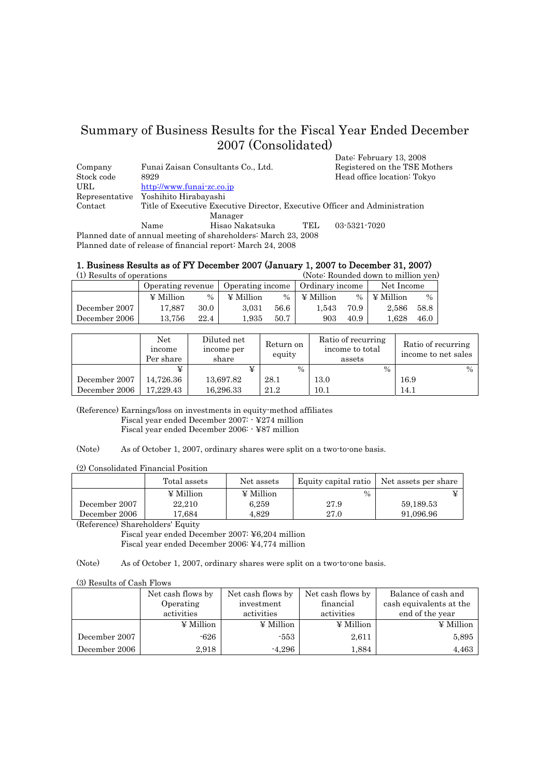# Summary of Business Results for the Fiscal Year Ended December 2007 (Consolidated) Date: February 13, 2008

| Company    | Funai Zaisan Consultants Co., Ltd.   |                             |        | Registered on the TSE Mothers                                               |
|------------|--------------------------------------|-----------------------------|--------|-----------------------------------------------------------------------------|
| Stock code | 8929                                 |                             |        | Head office location: Tokyo                                                 |
| URL        | http://www.funai-zc.co.jp            |                             |        |                                                                             |
|            | Representative Yoshihito Hirabayashi |                             |        |                                                                             |
| Contact    |                                      |                             |        | Title of Executive Executive Director, Executive Officer and Administration |
|            | Manager                              |                             |        |                                                                             |
|            | Name                                 | Hisao Nakatsuka             | TEL.   | 03-5321-7020                                                                |
| ות         |                                      | $\alpha$ 1 1 1 1 1 $\alpha$ | 00.000 |                                                                             |

Planned date of annual meeting of shareholders: March 23, 2008 Planned date of release of financial report: March 24, 2008

# 1. Business Results as of FY December 2007 (January 1, 2007 to December 31, 2007)

| (1) Results of operations |                   |               |                  | (Note: Rounded down to million yen) |                  |               |            |      |
|---------------------------|-------------------|---------------|------------------|-------------------------------------|------------------|---------------|------------|------|
|                           | Operating revenue |               | Operating income |                                     | Ordinary income  |               | Net Income |      |
|                           | $\angle$ Million  | $\frac{0}{0}$ | $\angle$ Million | $\%$                                | $\angle$ Million | $\frac{0}{0}$ | ¥ Million  | $\%$ |
| December 2007             | 17.887            | 30.0          | 3.031            | 56.6                                | $1.543\,$        | 70.9          | 2.586      | 58.8 |
| December 2006             | 13.756            | 22.4          | $1.935\,$        | 50.7                                | 903              | 40.9          | $1.628\,$  | 46.0 |

|               | Net<br>income<br>Per share | Diluted net<br>income per<br>share | Return on<br>equity | Ratio of recurring<br>income to total<br>assets | Ratio of recurring<br>income to net sales |  |
|---------------|----------------------------|------------------------------------|---------------------|-------------------------------------------------|-------------------------------------------|--|
|               |                            |                                    | $\%$                | $\frac{0}{0}$                                   | $\frac{0}{0}$                             |  |
| December 2007 | 14.726.36                  | 13,697.82                          | 28.1                | 13.0                                            | 16.9                                      |  |
| December 2006 | 17.229.43                  | 16,296.33                          | 21.2                | 10.1                                            | 14.1                                      |  |

(Reference) Earnings/loss on investments in equity-method affiliates Fiscal year ended December 2007: - ¥274 million Fiscal year ended December 2006: - ¥87 million

(Note) As of October 1, 2007, ordinary shares were split on a two-to-one basis.

(2) Consolidated Financial Position

|                | Total assets     | Net assets       | Equity capital ratio | Net assets per share |
|----------------|------------------|------------------|----------------------|----------------------|
|                | $\angle$ Million | $\angle$ Million | $\%$                 |                      |
| December 2007  | 22.210           | 6.259            | 27.9                 | 59,189.53            |
| December 2006  | 7.684            | 4.829            | $27.0\,$             | 91.096.96            |
| $\sim$<br>____ | __<br>_____      |                  |                      |                      |

(Reference) Shareholders' Equity

Fiscal year ended December 2007: ¥6,204 million

Fiscal year ended December 2006: ¥4,774 million

(Note) As of October 1, 2007, ordinary shares were split on a two-to-one basis.

(3) Results of Cash Flows

|               | Net cash flows by | Net cash flows by | Net cash flows by | Balance of cash and     |
|---------------|-------------------|-------------------|-------------------|-------------------------|
|               | Operating         | investment        | financial         | cash equivalents at the |
|               | activities        | activities        | activities        | end of the year         |
|               | $\angle$ Million  | $\angle$ Million  | $\angle$ Million  | $\angle$ Million        |
| December 2007 | -626              | -553              | 2.611             | 5,895                   |
| December 2006 | 2.918             | $-4.296$          | 1.884             | 4.463                   |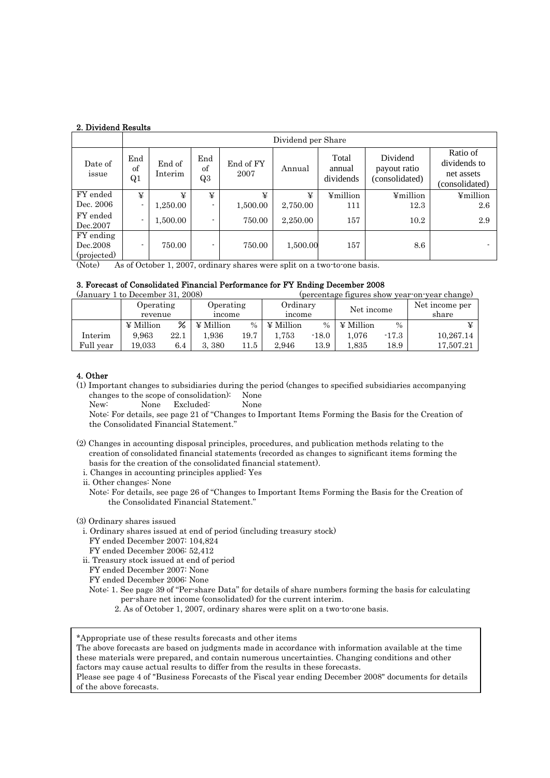|                                      |                 | Dividend per Share |                 |                   |          |                              |                                            |                                                          |  |  |  |  |  |  |  |
|--------------------------------------|-----------------|--------------------|-----------------|-------------------|----------|------------------------------|--------------------------------------------|----------------------------------------------------------|--|--|--|--|--|--|--|
| Date of<br>issue                     | End<br>of<br>Q1 | End of<br>Interim  | End<br>of<br>Q3 | End of FY<br>2007 | Annual   | Total<br>annual<br>dividends | Dividend<br>payout ratio<br>(consolidated) | Ratio of<br>dividends to<br>net assets<br>(consolidated) |  |  |  |  |  |  |  |
| FY ended                             | ¥               | ¥                  | ¥               | ¥                 | ¥        | ¥million                     | ¥million                                   | ¥million                                                 |  |  |  |  |  |  |  |
| Dec. 2006                            | $\blacksquare$  | 1,250.00           | ۰               | 1,500.00          | 2,750.00 | 111                          | 12.3                                       | 2.6                                                      |  |  |  |  |  |  |  |
| FY ended<br>Dec.2007                 | $\blacksquare$  | 1,500.00           | $\blacksquare$  | 750.00            | 2,250.00 | 157                          | 10.2                                       | 2.9                                                      |  |  |  |  |  |  |  |
| FY ending<br>Dec.2008<br>(projected) | ۰               | 750.00             |                 | 750.00            | 1,500.00 | 157                          | $8.6\,$                                    | $\sim$                                                   |  |  |  |  |  |  |  |

(Note) As of October 1, 2007, ordinary shares were split on a two-to-one basis.

## 3. Forecast of Consolidated Financial Performance for FY Ending December 2008

| (January 1 to December 31, 2008) |                                               |
|----------------------------------|-----------------------------------------------|
|                                  |                                               |
|                                  | (percentage figures show year on year change) |
|                                  |                                               |

|           | Operating<br>revenue |      | Operating<br>income |               | Ordinary<br>income |         | Net income        |         | Net income per<br>share |  |
|-----------|----------------------|------|---------------------|---------------|--------------------|---------|-------------------|---------|-------------------------|--|
|           | $\angle$ Million     | ℅    | ¥ Million           | $\frac{0}{0}$ | $\angle$ Million   | $\%$    | $\angle$ Million  | $\%$    |                         |  |
| Interim   | 9.963                | 22.1 | .936                | 19.7          | 1,753              | $-18.0$ | 1.076             | $-17.3$ | 10.267.14               |  |
| Full year | 19.033               | 6.4  | 380                 | ' 1.5         | 2.946              | 13.9    | $^{\text{1}}.835$ | 18.9    | 17,507.21               |  |

# 4. Other

(1) Important changes to subsidiaries during the period (changes to specified subsidiaries accompanying changes to the scope of consolidation): None

New: None Excluded: None

Note: For details, see page 21 of "Changes to Important Items Forming the Basis for the Creation of the Consolidated Financial Statement."

- (2) Changes in accounting disposal principles, procedures, and publication methods relating to the creation of consolidated financial statements (recorded as changes to significant items forming the basis for the creation of the consolidated financial statement).
	- i. Changes in accounting principles applied: Yes
	- ii. Other changes: None

Note: For details, see page 26 of "Changes to Important Items Forming the Basis for the Creation of the Consolidated Financial Statement."

- (3) Ordinary shares issued
	- i. Ordinary shares issued at end of period (including treasury stock)
		- FY ended December 2007: 104,824
		- FY ended December 2006: 52,412
	- ii. Treasury stock issued at end of period
	- FY ended December 2007: None
	- FY ended December 2006: None
	- Note: 1. See page 39 of "Per-share Data" for details of share numbers forming the basis for calculating per-share net income (consolidated) for the current interim.
		- 2. As of October 1, 2007, ordinary shares were split on a two-to-one basis.

\*Appropriate use of these results forecasts and other items

The above forecasts are based on judgments made in accordance with information available at the time these materials were prepared, and contain numerous uncertainties. Changing conditions and other factors may cause actual results to differ from the results in these forecasts.

Please see page 4 of "Business Forecasts of the Fiscal year ending December 2008" documents for details of the above forecasts.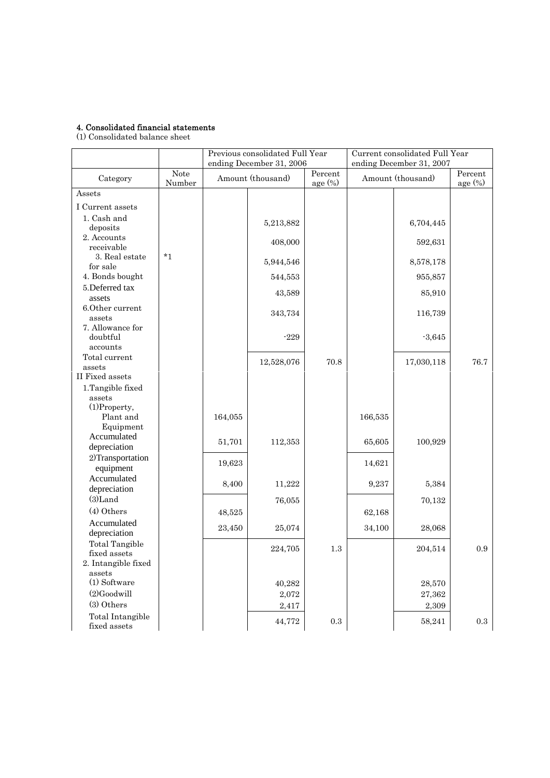## 4. Consolidated financial statements

(1) Consolidated balance sheet

|                                          |                |         | Previous consolidated Full Year<br>ending December 31, 2006 |                       | Current consolidated Full Year<br>ending December 31, 2007 |            |                                              |  |
|------------------------------------------|----------------|---------|-------------------------------------------------------------|-----------------------|------------------------------------------------------------|------------|----------------------------------------------|--|
| Category                                 | Note<br>Number |         | Amount (thousand)                                           | Percent<br>age $(\%)$ | Amount (thousand)                                          |            | Percent<br>$\frac{\text{age}}{\text{6}}$ (%) |  |
| Assets                                   |                |         |                                                             |                       |                                                            |            |                                              |  |
| I Current assets                         |                |         |                                                             |                       |                                                            |            |                                              |  |
| 1. Cash and<br>deposits                  |                |         | 5,213,882                                                   |                       |                                                            | 6,704,445  |                                              |  |
| 2. Accounts                              |                |         | 408,000                                                     |                       |                                                            | 592,631    |                                              |  |
| receivable<br>3. Real estate             | $*_{1}$        |         | 5,944,546                                                   |                       |                                                            | 8,578,178  |                                              |  |
| for sale<br>4. Bonds bought              |                |         | 544,553                                                     |                       |                                                            | 955,857    |                                              |  |
| 5.Deferred tax                           |                |         | 43,589                                                      |                       |                                                            | 85,910     |                                              |  |
| assets<br>6.Other current<br>assets      |                |         | 343,734                                                     |                       |                                                            | 116,739    |                                              |  |
| 7. Allowance for<br>doubtful<br>accounts |                |         | $-229$                                                      |                       |                                                            | $-3,645$   |                                              |  |
| Total current<br>assets                  |                |         | 12,528,076                                                  | 70.8                  |                                                            | 17,030,118 | 76.7                                         |  |
| II Fixed assets<br>1.Tangible fixed      |                |         |                                                             |                       |                                                            |            |                                              |  |
| assets                                   |                |         |                                                             |                       |                                                            |            |                                              |  |
| $(1)$ Property,<br>Plant and             |                | 164,055 |                                                             |                       | 166,535                                                    |            |                                              |  |
| Equipment                                |                |         |                                                             |                       |                                                            |            |                                              |  |
| Accumulated<br>depreciation              |                | 51,701  | 112,353                                                     |                       | 65,605                                                     | 100,929    |                                              |  |
| 2)Transportation<br>equipment            |                | 19,623  |                                                             |                       | 14,621                                                     |            |                                              |  |
| Accumulated<br>depreciation              |                | 8,400   | 11,222                                                      |                       | 9,237                                                      | 5,384      |                                              |  |
| $(3)$ Land                               |                |         | 76,055                                                      |                       |                                                            | 70,132     |                                              |  |
| (4) Others                               |                | 48,525  |                                                             |                       | 62,168                                                     |            |                                              |  |
| Accumulated<br>depreciation              |                | 23,450  | 25,074                                                      |                       | 34,100                                                     | 28,068     |                                              |  |
| <b>Total Tangible</b><br>fixed assets    |                |         | 224,705                                                     | 1.3                   |                                                            | 204,514    | 0.9                                          |  |
| 2. Intangible fixed<br>assets            |                |         |                                                             |                       |                                                            |            |                                              |  |
| (1) Software                             |                |         | 40,282                                                      |                       |                                                            | 28,570     |                                              |  |
| $(2)$ Goodwill                           |                |         | 2,072                                                       |                       |                                                            | 27,362     |                                              |  |
| (3) Others                               |                |         | 2,417                                                       |                       |                                                            | 2,309      |                                              |  |
| Total Intangible<br>fixed assets         |                |         | 44,772                                                      | $\rm 0.3$             |                                                            | 58,241     | $\rm 0.3$                                    |  |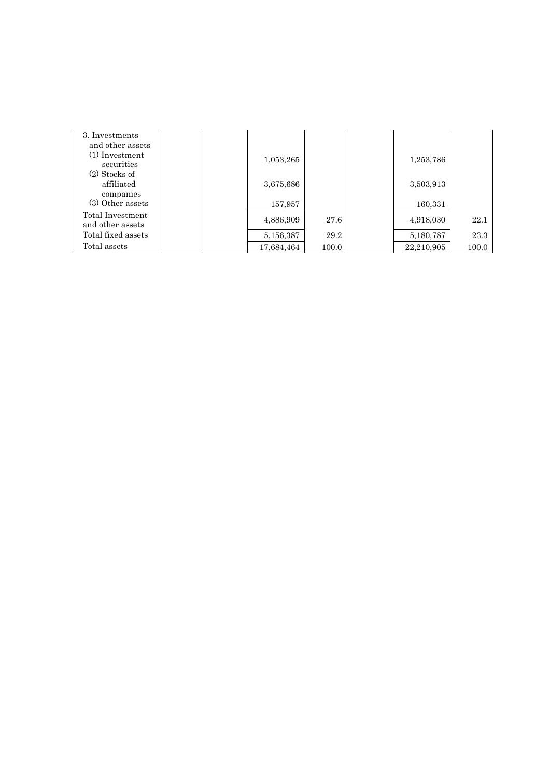| 3. Investments     |  |            |       |            |       |
|--------------------|--|------------|-------|------------|-------|
| and other assets   |  |            |       |            |       |
| $(1)$ Investment   |  | 1,053,265  |       | 1,253,786  |       |
| securities         |  |            |       |            |       |
| $(2)$ Stocks of    |  |            |       |            |       |
| affiliated         |  | 3,675,686  |       | 3,503,913  |       |
| companies          |  |            |       |            |       |
| (3) Other assets   |  | 157,957    |       | 160,331    |       |
| Total Investment   |  |            |       |            |       |
| and other assets   |  | 4,886,909  | 27.6  | 4,918,030  | 22.1  |
| Total fixed assets |  | 5,156,387  | 29.2  | 5,180,787  | 23.3  |
| Total assets       |  | 17,684,464 | 100.0 | 22.210.905 | 100.0 |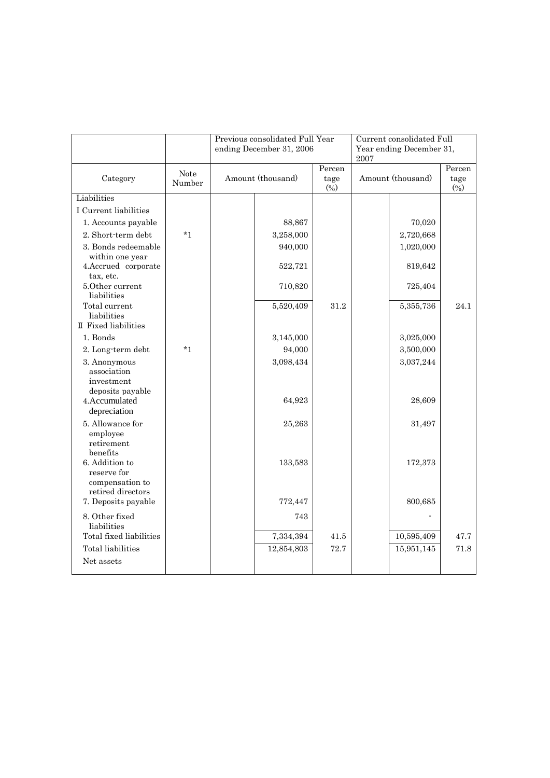|                                                                                |                |                   | Previous consolidated Full Year<br>ending December 31, 2006 |                       | Current consolidated Full<br>Year ending December 31,<br>2007 |                     |                       |
|--------------------------------------------------------------------------------|----------------|-------------------|-------------------------------------------------------------|-----------------------|---------------------------------------------------------------|---------------------|-----------------------|
| Category                                                                       | Note<br>Number | Amount (thousand) |                                                             | Percen<br>tage<br>(%) | Amount (thousand)                                             |                     | Percen<br>tage<br>(%) |
| Liabilities                                                                    |                |                   |                                                             |                       |                                                               |                     |                       |
| I Current liabilities                                                          |                |                   |                                                             |                       |                                                               |                     |                       |
| 1. Accounts payable                                                            |                |                   | 88,867                                                      |                       |                                                               | 70,020              |                       |
| 2. Short-term debt                                                             | $*1$           |                   | 3,258,000                                                   |                       |                                                               | 2,720,668           |                       |
| 3. Bonds redeemable                                                            |                |                   | 940,000                                                     |                       |                                                               | 1,020,000           |                       |
| within one year<br>4.Accrued corporate<br>tax, etc.                            |                |                   | 522,721                                                     |                       |                                                               | 819,642             |                       |
| 5.0ther current<br>liabilities                                                 |                |                   | 710,820                                                     |                       |                                                               | 725,404             |                       |
| Total current<br>liabilities                                                   |                |                   | 5,520,409                                                   | 31.2                  |                                                               | 5,355,736           | 24.1                  |
| II Fixed liabilities                                                           |                |                   |                                                             |                       |                                                               |                     |                       |
| 1. Bonds                                                                       |                |                   | 3,145,000                                                   |                       |                                                               | 3,025,000           |                       |
| 2. Long-term debt                                                              | $*1$           |                   | 94,000                                                      |                       |                                                               | 3,500,000           |                       |
| 3. Anonymous<br>association<br>investment<br>deposits payable<br>4.Accumulated |                |                   | 3,098,434<br>64,923                                         |                       |                                                               | 3,037,244<br>28,609 |                       |
| depreciation                                                                   |                |                   |                                                             |                       |                                                               |                     |                       |
| 5. Allowance for<br>employee<br>retirement<br>benefits                         |                |                   | 25,263                                                      |                       |                                                               | 31,497              |                       |
| 6. Addition to<br>reserve for<br>compensation to                               |                |                   | 133,583                                                     |                       |                                                               | 172,373             |                       |
| retired directors<br>7. Deposits payable                                       |                |                   | 772,447                                                     |                       |                                                               | 800,685             |                       |
| 8. Other fixed<br>liabilities                                                  |                |                   | 743                                                         |                       |                                                               |                     |                       |
| Total fixed liabilities                                                        |                |                   | 7,334,394                                                   | 41.5                  |                                                               | 10,595,409          | 47.7                  |
| Total liabilities                                                              |                |                   | 12,854,803                                                  | 72.7                  |                                                               | 15,951,145          | 71.8                  |
| Net assets                                                                     |                |                   |                                                             |                       |                                                               |                     |                       |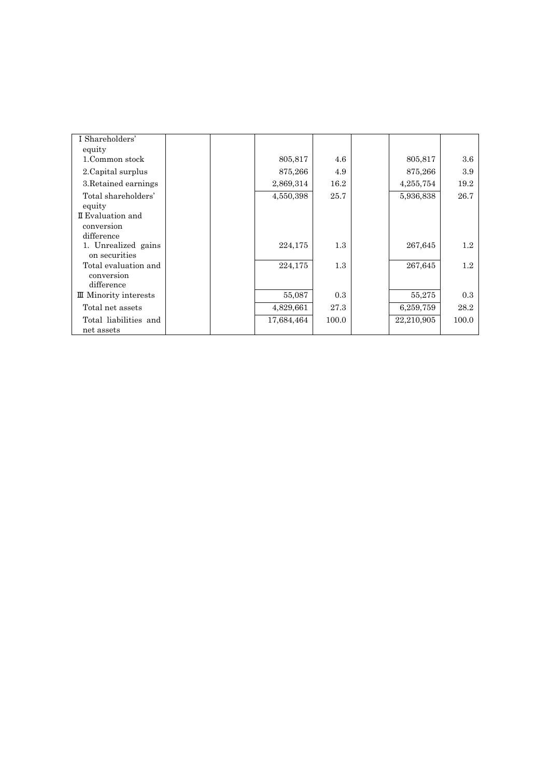| I Shareholders'              |  |            |         |            |                  |
|------------------------------|--|------------|---------|------------|------------------|
| equity                       |  |            |         |            |                  |
| 1.Common stock               |  | 805,817    | 4.6     | 805,817    | $3.6\phantom{0}$ |
| 2. Capital surplus           |  | 875,266    | 4.9     | 875,266    | 3.9              |
| 3. Retained earnings         |  | 2,869,314  | 16.2    | 4,255,754  | 19.2             |
| Total shareholders'          |  | 4,550,398  | 25.7    | 5,936,838  | 26.7             |
| equity                       |  |            |         |            |                  |
| II Evaluation and            |  |            |         |            |                  |
| conversion                   |  |            |         |            |                  |
| difference                   |  |            |         |            |                  |
| 1. Unrealized gains          |  | 224,175    | $1.3\,$ | 267,645    | 1.2              |
| on securities                |  |            |         |            |                  |
| Total evaluation and         |  | 224,175    | $1.3\,$ | 267,645    | $1.2^{\circ}$    |
| conversion                   |  |            |         |            |                  |
| difference                   |  |            |         |            |                  |
| <b>II</b> Minority interests |  | 55,087     | 0.3     | 55,275     | 0.3              |
| Total net assets             |  | 4,829,661  | 27.3    | 6,259,759  | 28.2             |
| Total liabilities and        |  | 17,684,464 | 100.0   | 22,210,905 | 100.0            |
| net assets                   |  |            |         |            |                  |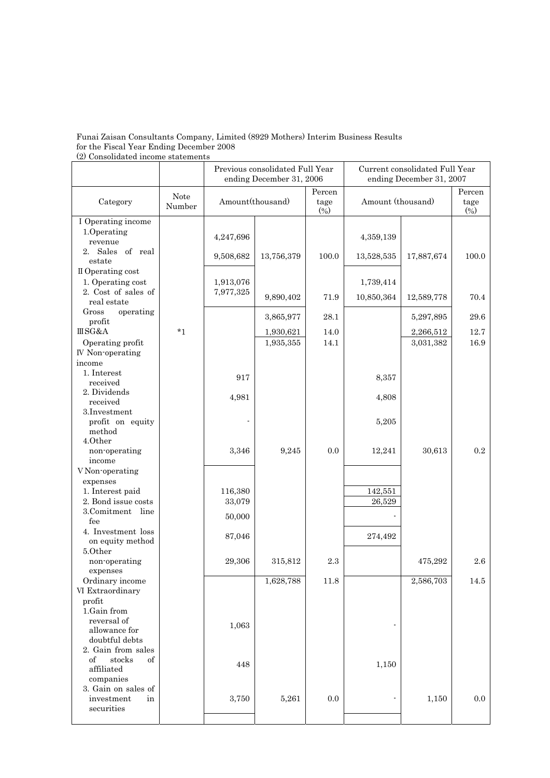## Funai Zaisan Consultants Company, Limited (8929 Mothers) Interim Business Results for the Fiscal Year Ending December 2008 (2) Consolidated income statements

|                                      |                | Previous consolidated Full Year<br>ending December 31, 2006 |            |                       | Current consolidated Full Year<br>ending December 31, 2007 |            |                       |
|--------------------------------------|----------------|-------------------------------------------------------------|------------|-----------------------|------------------------------------------------------------|------------|-----------------------|
| Category                             | Note<br>Number | Amount(thousand)                                            |            | Percen<br>tage<br>(%) | Amount (thousand)                                          |            | Percen<br>tage<br>(%) |
| I Operating income                   |                |                                                             |            |                       |                                                            |            |                       |
| 1.Operating<br>revenue               |                | 4,247,696                                                   |            |                       | 4,359,139                                                  |            |                       |
| 2. Sales of real                     |                |                                                             |            |                       |                                                            |            |                       |
| estate                               |                | 9,508,682                                                   | 13,756,379 | 100.0                 | 13,528,535                                                 | 17,887,674 | 100.0                 |
| II Operating cost                    |                |                                                             |            |                       |                                                            |            |                       |
| 1. Operating cost                    |                | 1,913,076                                                   |            |                       | 1,739,414                                                  |            |                       |
| 2. Cost of sales of                  |                | 7,977,325                                                   | 9,890,402  | 71.9                  | 10,850,364                                                 | 12,589,778 | 70.4                  |
| real estate                          |                |                                                             |            |                       |                                                            |            |                       |
| Gross<br>operating                   |                |                                                             | 3,865,977  | 28.1                  |                                                            | 5,297,895  | 29.6                  |
| profit                               |                |                                                             |            |                       |                                                            |            |                       |
| <b>IIISG&amp;A</b>                   | $*_{1}$        |                                                             | 1,930,621  | 14.0                  |                                                            | 2,266,512  | $12.7\,$              |
| Operating profit                     |                |                                                             | 1,935,355  | 14.1                  |                                                            | 3,031,382  | 16.9                  |
| IV Non-operating<br>income           |                |                                                             |            |                       |                                                            |            |                       |
| 1. Interest                          |                |                                                             |            |                       |                                                            |            |                       |
| received                             |                | 917                                                         |            |                       | 8,357                                                      |            |                       |
| 2. Dividends                         |                |                                                             |            |                       |                                                            |            |                       |
| received                             |                | 4,981                                                       |            |                       | 4,808                                                      |            |                       |
| 3. Investment                        |                |                                                             |            |                       |                                                            |            |                       |
| profit on equity                     |                |                                                             |            |                       | 5,205                                                      |            |                       |
| method                               |                |                                                             |            |                       |                                                            |            |                       |
| 4.0ther<br>non-operating             |                | 3,346                                                       | 9,245      | 0.0                   | 12,241                                                     | 30,613     | 0.2                   |
| income                               |                |                                                             |            |                       |                                                            |            |                       |
| V Non-operating                      |                |                                                             |            |                       |                                                            |            |                       |
| expenses                             |                |                                                             |            |                       |                                                            |            |                       |
| 1. Interest paid                     |                | 116,380                                                     |            |                       | 142,551                                                    |            |                       |
| 2. Bond issue costs                  |                | 33,079                                                      |            |                       | 26,529                                                     |            |                       |
| 3.Comitment line                     |                | 50,000                                                      |            |                       |                                                            |            |                       |
| fee                                  |                |                                                             |            |                       |                                                            |            |                       |
| 4. Investment loss                   |                | 87,046                                                      |            |                       | 274,492                                                    |            |                       |
| on equity method                     |                |                                                             |            |                       |                                                            |            |                       |
| 5.Other<br>non operating             |                |                                                             | 315,812    | 2.3                   |                                                            | 475,292    | 2.6                   |
| expenses                             |                | 29,306                                                      |            |                       |                                                            |            |                       |
| Ordinary income                      |                |                                                             | 1,628,788  | 11.8                  |                                                            | 2,586,703  | $14.5\,$              |
| VI Extraordinary                     |                |                                                             |            |                       |                                                            |            |                       |
| profit                               |                |                                                             |            |                       |                                                            |            |                       |
| 1.Gain from                          |                |                                                             |            |                       |                                                            |            |                       |
| reversal of                          |                | 1,063                                                       |            |                       |                                                            |            |                       |
| allowance for                        |                |                                                             |            |                       |                                                            |            |                       |
| doubtful debts<br>2. Gain from sales |                |                                                             |            |                       |                                                            |            |                       |
| of<br>stocks<br>of                   |                |                                                             |            |                       |                                                            |            |                       |
| affiliated                           |                | 448                                                         |            |                       | 1,150                                                      |            |                       |
| companies                            |                |                                                             |            |                       |                                                            |            |                       |
| 3. Gain on sales of                  |                |                                                             |            |                       |                                                            |            |                       |
| investment<br>in                     |                | 3,750                                                       | 5,261      | 0.0                   |                                                            | 1,150      | 0.0                   |
| securities                           |                |                                                             |            |                       |                                                            |            |                       |
|                                      |                |                                                             |            |                       |                                                            |            |                       |